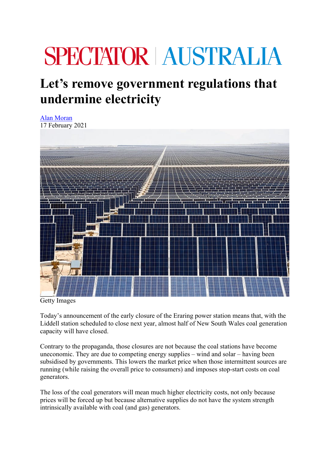## **SPECTATOR AUSTRALIA**

## **Let's remove government regulations that undermine electricity**

Alan Moran 17 February 2021



Getty Images

Today's announcement of the early closure of the Eraring power station means that, with the Liddell station scheduled to close next year, almost half of New South Wales coal generation capacity will have closed.

Contrary to the propaganda, those closures are not because the coal stations have become uneconomic. They are due to competing energy supplies – wind and solar – having been subsidised by governments. This lowers the market price when those intermittent sources are running (while raising the overall price to consumers) and imposes stop-start costs on coal generators.

The loss of the coal generators will mean much higher electricity costs, not only because prices will be forced up but because alternative supplies do not have the system strength intrinsically available with coal (and gas) generators.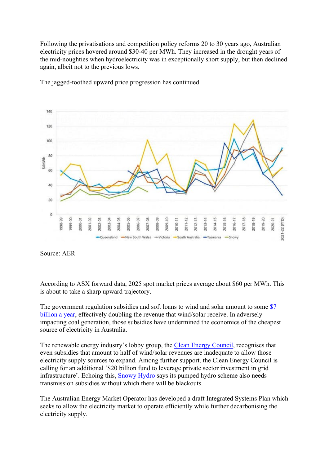Following the privatisations and competition policy reforms 20 to 30 years ago, Australian electricity prices hovered around \$30-40 per MWh. They increased in the drought years of the mid-noughties when hydroelectricity was in exceptionally short supply, but then declined again, albeit not to the previous lows.



The jagged-toothed upward price progression has continued.

According to ASX forward data, 2025 spot market prices average about \$60 per MWh. This is about to take a sharp upward trajectory.

The government regulation subsidies and soft loans to wind and solar amount to some \$7 billion a year, effectively doubling the revenue that wind/solar receive. In adversely impacting coal generation, those subsidies have undermined the economics of the cheapest source of electricity in Australia.

The renewable energy industry's lobby group, the Clean Energy Council, recognises that even subsidies that amount to half of wind/solar revenues are inadequate to allow those electricity supply sources to expand. Among further support, the Clean Energy Council is calling for an additional '\$20 billion fund to leverage private sector investment in grid infrastructure'. Echoing this, Snowy Hydro says its pumped hydro scheme also needs transmission subsidies without which there will be blackouts.

The Australian Energy Market Operator has developed a draft Integrated Systems Plan which seeks to allow the electricity market to operate efficiently while further decarbonising the electricity supply.

Source: AER